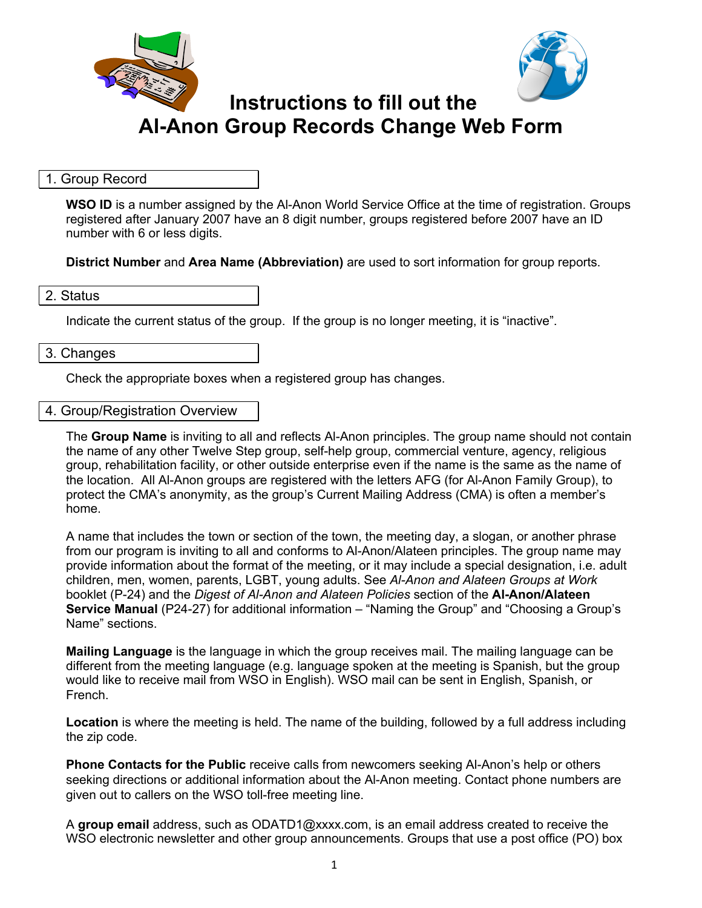



# **Instructions to fill out the Al-Anon Group Records Change Web Form**

# 1. Group Record

**WSO ID** is a number assigned by the Al-Anon World Service Office at the time of registration. Groups registered after January 2007 have an 8 digit number, groups registered before 2007 have an ID number with 6 or less digits.

**District Number** and **Area Name (Abbreviation)** are used to sort information for group reports.

### 2. Status

Indicate the current status of the group. If the group is no longer meeting, it is "inactive".

### 3. Changes

Check the appropriate boxes when a registered group has changes.

### 4. Group/Registration Overview

The **Group Name** is inviting to all and reflects Al-Anon principles. The group name should not contain the name of any other Twelve Step group, self-help group, commercial venture, agency, religious group, rehabilitation facility, or other outside enterprise even if the name is the same as the name of the location. All Al-Anon groups are registered with the letters AFG (for Al-Anon Family Group), to protect the CMA's anonymity, as the group's Current Mailing Address (CMA) is often a member's home.

A name that includes the town or section of the town, the meeting day, a slogan, or another phrase from our program is inviting to all and conforms to Al-Anon/Alateen principles. The group name may provide information about the format of the meeting, or it may include a special designation, i.e. adult children, men, women, parents, LGBT, young adults. See *Al-Anon and Alateen Groups at Work*  booklet (P-24) and the *Digest of Al-Anon and Alateen Policies* section of the **Al-Anon/Alateen Service Manual** (P24-27) for additional information – "Naming the Group" and "Choosing a Group's Name" sections.

**Mailing Language** is the language in which the group receives mail. The mailing language can be different from the meeting language (e.g. language spoken at the meeting is Spanish, but the group would like to receive mail from WSO in English). WSO mail can be sent in English, Spanish, or French.

**Location** is where the meeting is held. The name of the building, followed by a full address including the zip code.

**Phone Contacts for the Public** receive calls from newcomers seeking Al-Anon's help or others seeking directions or additional information about the Al-Anon meeting. Contact phone numbers are given out to callers on the WSO toll-free meeting line.

A **group email** address, such as ODATD1@xxxx.com, is an email address created to receive the WSO electronic newsletter and other group announcements. Groups that use a post office (PO) box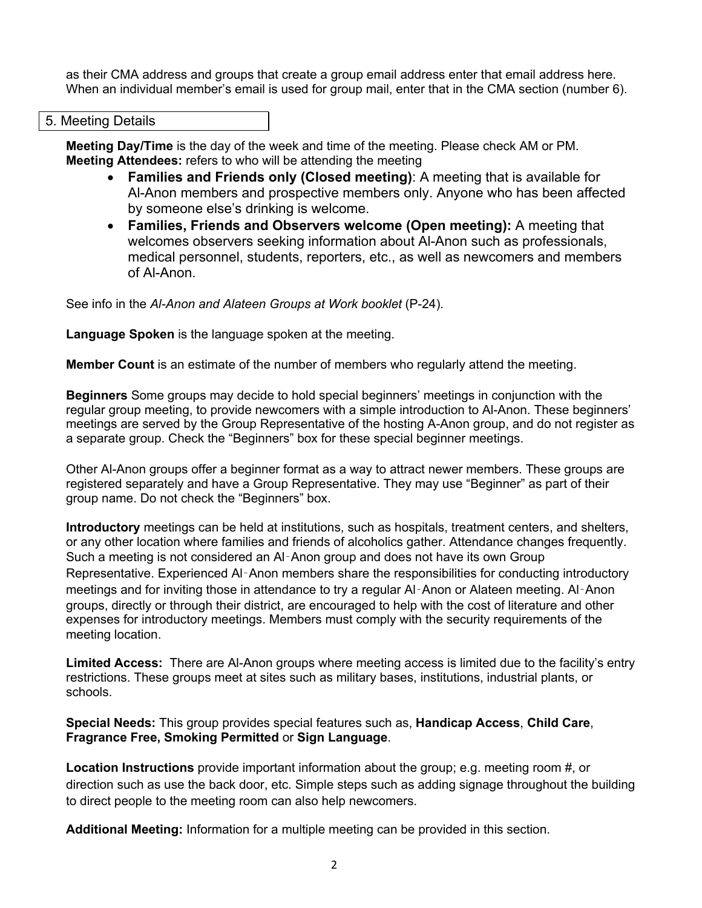as their CMA address and groups that create a group email address enter that email address here. When an individual member's email is used for group mail, enter that in the CMA section (number 6).

#### 5. Meeting Details

**Meeting Day/Time** is the day of the week and time of the meeting. Please check AM or PM. **Meeting Attendees:** refers to who will be attending the meeting

- **Families and Friends only (Closed meeting)**: A meeting that is available for Al-Anon members and prospective members only. Anyone who has been affected by someone else's drinking is welcome.
- **Families, Friends and Observers welcome (Open meeting):** A meeting that welcomes observers seeking information about Al-Anon such as professionals, medical personnel, students, reporters, etc., as well as newcomers and members of Al-Anon.

See info in the *Al-Anon and Alateen Groups at Work booklet* (P-24).

**Language Spoken** is the language spoken at the meeting.

**Member Count** is an estimate of the number of members who regularly attend the meeting.

**Beginners** Some groups may decide to hold special beginners' meetings in conjunction with the regular group meeting, to provide newcomers with a simple introduction to Al-Anon. These beginners' meetings are served by the Group Representative of the hosting A-Anon group, and do not register as a separate group. Check the "Beginners" box for these special beginner meetings.

Other Al-Anon groups offer a beginner format as a way to attract newer members. These groups are registered separately and have a Group Representative. They may use "Beginner" as part of their group name. Do not check the "Beginners" box.

**Introductory** meetings can be held at institutions, such as hospitals, treatment centers, and shelters, or any other location where families and friends of alcoholics gather. Attendance changes frequently. Such a meeting is not considered an Al‑Anon group and does not have its own Group Representative. Experienced Al‑Anon members share the responsibilities for conducting introductory meetings and for inviting those in attendance to try a regular Al‑Anon or Alateen meeting. Al‑Anon groups, directly or through their district, are encouraged to help with the cost of literature and other expenses for introductory meetings. Members must comply with the security requirements of the meeting location.

**Limited Access:** There are Al-Anon groups where meeting access is limited due to the facility's entry restrictions. These groups meet at sites such as military bases, institutions, industrial plants, or schools.

**Special Needs:** This group provides special features such as, **Handicap Access**, **Child Care**, **Fragrance Free, Smoking Permitted** or **Sign Language**.

**Location Instructions** provide important information about the group; e.g. meeting room #, or direction such as use the back door, etc. Simple steps such as adding signage throughout the building to direct people to the meeting room can also help newcomers.

**Additional Meeting:** Information for a multiple meeting can be provided in this section.